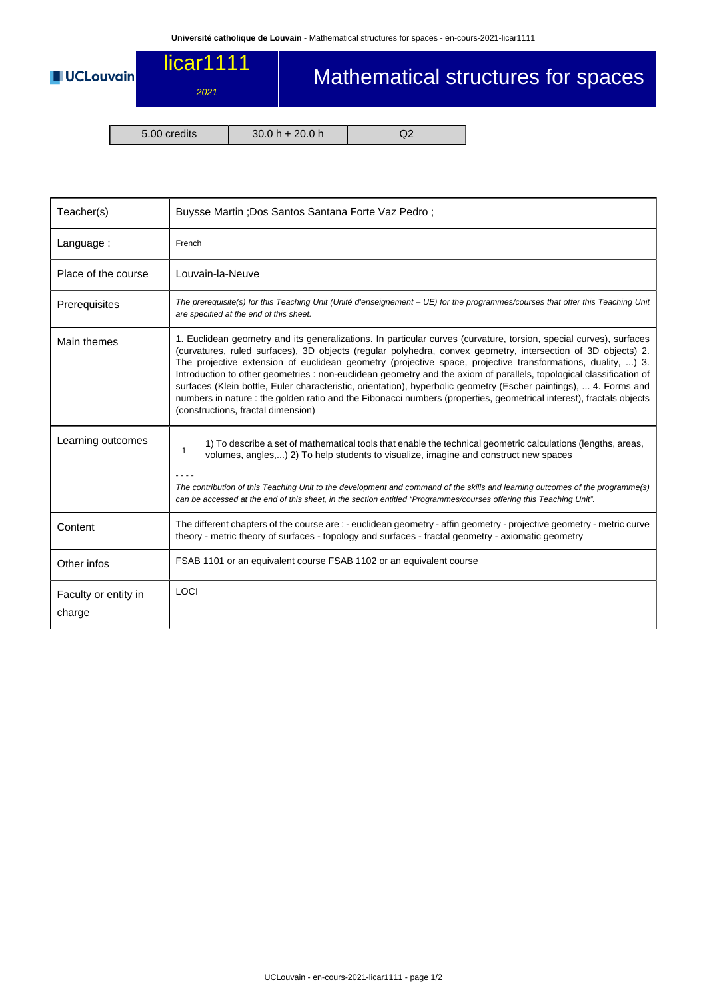## licar1111

2021

## Mathematical structures for spaces

**UCLouvain** 

5.00 credits 30.0 h + 20.0 h Q2

| Teacher(s)                     | Buysse Martin ; Dos Santos Santana Forte Vaz Pedro ;                                                                                                                                                                                                                                                                                                                                                                                                                                                                                                                                                                                                                                                                                                       |  |  |  |
|--------------------------------|------------------------------------------------------------------------------------------------------------------------------------------------------------------------------------------------------------------------------------------------------------------------------------------------------------------------------------------------------------------------------------------------------------------------------------------------------------------------------------------------------------------------------------------------------------------------------------------------------------------------------------------------------------------------------------------------------------------------------------------------------------|--|--|--|
| Language:                      | French                                                                                                                                                                                                                                                                                                                                                                                                                                                                                                                                                                                                                                                                                                                                                     |  |  |  |
| Place of the course            | Louvain-la-Neuve                                                                                                                                                                                                                                                                                                                                                                                                                                                                                                                                                                                                                                                                                                                                           |  |  |  |
| Prerequisites                  | The prerequisite(s) for this Teaching Unit (Unité d'enseignement - UE) for the programmes/courses that offer this Teaching Unit<br>are specified at the end of this sheet.                                                                                                                                                                                                                                                                                                                                                                                                                                                                                                                                                                                 |  |  |  |
| Main themes                    | 1. Euclidean geometry and its generalizations. In particular curves (curvature, torsion, special curves), surfaces<br>(curvatures, ruled surfaces), 3D objects (regular polyhedra, convex geometry, intersection of 3D objects) 2.<br>The projective extension of euclidean geometry (projective space, projective transformations, duality, ) 3.<br>Introduction to other geometries : non-euclidean geometry and the axiom of parallels, topological classification of<br>surfaces (Klein bottle, Euler characteristic, orientation), hyperbolic geometry (Escher paintings),  4. Forms and<br>numbers in nature : the golden ratio and the Fibonacci numbers (properties, geometrical interest), fractals objects<br>(constructions, fractal dimension) |  |  |  |
| Learning outcomes              | 1) To describe a set of mathematical tools that enable the technical geometric calculations (lengths, areas,<br>$\mathbf{1}$<br>volumes, angles,) 2) To help students to visualize, imagine and construct new spaces<br>The contribution of this Teaching Unit to the development and command of the skills and learning outcomes of the programme(s)<br>can be accessed at the end of this sheet, in the section entitled "Programmes/courses offering this Teaching Unit".                                                                                                                                                                                                                                                                               |  |  |  |
| Content                        | The different chapters of the course are : - euclidean geometry - affin geometry - projective geometry - metric curve<br>theory - metric theory of surfaces - topology and surfaces - fractal geometry - axiomatic geometry                                                                                                                                                                                                                                                                                                                                                                                                                                                                                                                                |  |  |  |
| Other infos                    | FSAB 1101 or an equivalent course FSAB 1102 or an equivalent course                                                                                                                                                                                                                                                                                                                                                                                                                                                                                                                                                                                                                                                                                        |  |  |  |
| Faculty or entity in<br>charge | LOCI                                                                                                                                                                                                                                                                                                                                                                                                                                                                                                                                                                                                                                                                                                                                                       |  |  |  |